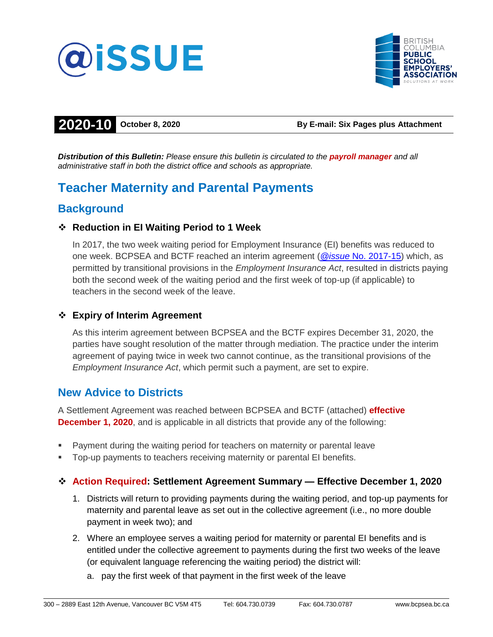



# **2020-10 October 8, 2020 By E-mail: Six Pages plus Attachment**

*Distribution of this Bulletin: Please ensure this bulletin is circulated to the payroll manager and all administrative staff in both the district office and schools as appropriate.*

# **Teacher Maternity and Parental Payments**

# **Background**

## **Reduction in EI Waiting Period to 1 Week**

In 2017, the two week waiting period for Employment Insurance (EI) benefits was reduced to one week. BCPSEA and BCTF reached an interim agreement (*@issue* [No. 2017-15\)](https://bcpsea.bc.ca/wp-content/uploads/documents/20170907_094725983_2017-15%20EI%20Waiting%20Period%20Settlement.pdf) which, as permitted by transitional provisions in the *Employment Insurance Act*, resulted in districts paying both the second week of the waiting period and the first week of top-up (if applicable) to teachers in the second week of the leave.

## **Expiry of Interim Agreement**

As this interim agreement between BCPSEA and the BCTF expires December 31, 2020, the parties have sought resolution of the matter through mediation. The practice under the interim agreement of paying twice in week two cannot continue, as the transitional provisions of the *Employment Insurance Act*, which permit such a payment, are set to expire.

# **New Advice to Districts**

A Settlement Agreement was reached between BCPSEA and BCTF (attached) **effective December 1, 2020**, and is applicable in all districts that provide any of the following:

- Payment during the waiting period for teachers on maternity or parental leave
- Top-up payments to teachers receiving maternity or parental EI benefits.

## **Action Required: Settlement Agreement Summary — Effective December 1, 2020**

- 1. Districts will return to providing payments during the waiting period, and top-up payments for maternity and parental leave as set out in the collective agreement (i.e., no more double payment in week two); and
- 2. Where an employee serves a waiting period for maternity or parental EI benefits and is entitled under the collective agreement to payments during the first two weeks of the leave (or equivalent language referencing the waiting period) the district will:
	- a. pay the first week of that payment in the first week of the leave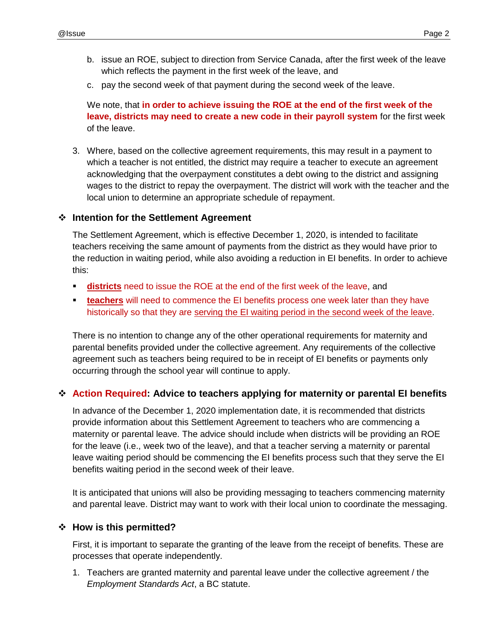- b. issue an ROE, subject to direction from Service Canada, after the first week of the leave which reflects the payment in the first week of the leave, and
- c. pay the second week of that payment during the second week of the leave.

We note, that **in order to achieve issuing the ROE at the end of the first week of the leave, districts may need to create a new code in their payroll system** for the first week of the leave.

3. Where, based on the collective agreement requirements, this may result in a payment to which a teacher is not entitled, the district may require a teacher to execute an agreement acknowledging that the overpayment constitutes a debt owing to the district and assigning wages to the district to repay the overpayment. The district will work with the teacher and the local union to determine an appropriate schedule of repayment.

#### **Intention for the Settlement Agreement**

The Settlement Agreement, which is effective December 1, 2020, is intended to facilitate teachers receiving the same amount of payments from the district as they would have prior to the reduction in waiting period, while also avoiding a reduction in EI benefits. In order to achieve this:

- **districts** need to issue the ROE at the end of the first week of the leave, and
- **teachers** will need to commence the EI benefits process one week later than they have historically so that they are serving the EI waiting period in the second week of the leave.

There is no intention to change any of the other operational requirements for maternity and parental benefits provided under the collective agreement. Any requirements of the collective agreement such as teachers being required to be in receipt of EI benefits or payments only occurring through the school year will continue to apply.

#### **Action Required: Advice to teachers applying for maternity or parental EI benefits**

In advance of the December 1, 2020 implementation date, it is recommended that districts provide information about this Settlement Agreement to teachers who are commencing a maternity or parental leave. The advice should include when districts will be providing an ROE for the leave (i.e., week two of the leave), and that a teacher serving a maternity or parental leave waiting period should be commencing the EI benefits process such that they serve the EI benefits waiting period in the second week of their leave.

It is anticipated that unions will also be providing messaging to teachers commencing maternity and parental leave. District may want to work with their local union to coordinate the messaging.

#### **↑ How is this permitted?**

First, it is important to separate the granting of the leave from the receipt of benefits. These are processes that operate independently.

1. Teachers are granted maternity and parental leave under the collective agreement / the *Employment Standards Act*, a BC statute.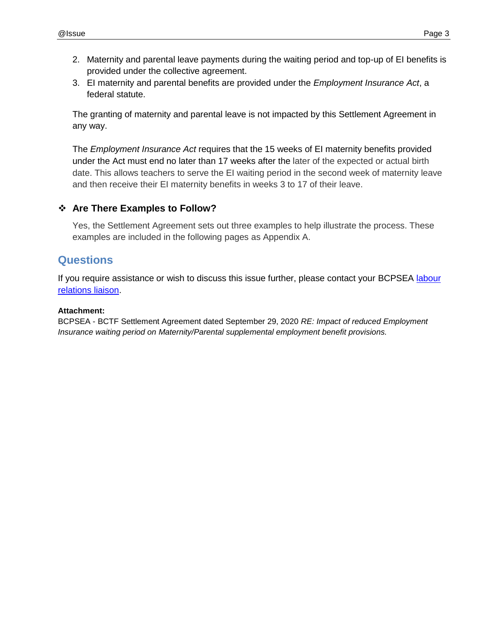- 2. Maternity and parental leave payments during the waiting period and top-up of EI benefits is provided under the collective agreement.
- 3. EI maternity and parental benefits are provided under the *Employment Insurance Act*, a federal statute.

The granting of maternity and parental leave is not impacted by this Settlement Agreement in any way.

The *Employment Insurance Act* requires that the 15 weeks of EI maternity benefits provided under the Act must end no later than 17 weeks after the later of the expected or actual birth date. This allows teachers to serve the EI waiting period in the second week of maternity leave and then receive their EI maternity benefits in weeks 3 to 17 of their leave.

#### **Are There Examples to Follow?**

Yes, the Settlement Agreement sets out three examples to help illustrate the process. These examples are included in the following pages as Appendix A.

# **Questions**

If you require assistance or wish to discuss this issue further, please contact your BCPSEA labour [relations liaison.](http://bcpsea.bc.ca/about-us/contact-us/bcpsea-staff-district-liaison/)

#### **Attachment:**

BCPSEA - BCTF Settlement Agreement dated September 29, 2020 *RE: Impact of reduced Employment Insurance waiting period on Maternity/Parental supplemental employment benefit provisions.*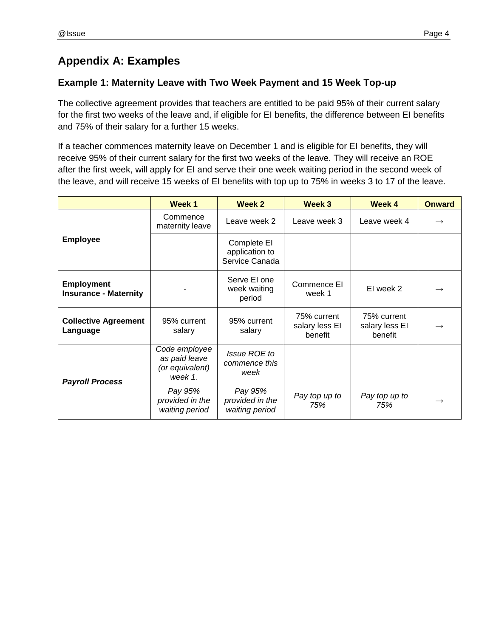# **Appendix A: Examples**

### **Example 1: Maternity Leave with Two Week Payment and 15 Week Top-up**

The collective agreement provides that teachers are entitled to be paid 95% of their current salary for the first two weeks of the leave and, if eligible for EI benefits, the difference between EI benefits and 75% of their salary for a further 15 weeks.

If a teacher commences maternity leave on December 1 and is eligible for EI benefits, they will receive 95% of their current salary for the first two weeks of the leave. They will receive an ROE after the first week, will apply for EI and serve their one week waiting period in the second week of the leave, and will receive 15 weeks of EI benefits with top up to 75% in weeks 3 to 17 of the leave.

|                                                   | Week 1                                                       | Week 2                                          | Week 3                                   | Week 4                                   | <b>Onward</b> |
|---------------------------------------------------|--------------------------------------------------------------|-------------------------------------------------|------------------------------------------|------------------------------------------|---------------|
| <b>Employee</b>                                   | Commence<br>maternity leave                                  | Leave week 2                                    | Leave week 3                             | Leave week 4                             |               |
|                                                   |                                                              | Complete El<br>application to<br>Service Canada |                                          |                                          |               |
| <b>Employment</b><br><b>Insurance - Maternity</b> |                                                              | Serve El one<br>week waiting<br>period          | Commence EI<br>week 1                    | EI week 2                                |               |
| <b>Collective Agreement</b><br>Language           | 95% current<br>salary                                        | 95% current<br>salary                           | 75% current<br>salary less El<br>benefit | 75% current<br>salary less El<br>benefit |               |
| <b>Payroll Process</b>                            | Code employee<br>as paid leave<br>(or equivalent)<br>week 1. | Issue ROE to<br>commence this<br>week           |                                          |                                          |               |
|                                                   | Pay 95%<br>provided in the<br>waiting period                 | Pay 95%<br>provided in the<br>waiting period    | Pay top up to<br>75%                     | Pay top up to<br>75%                     | $\rightarrow$ |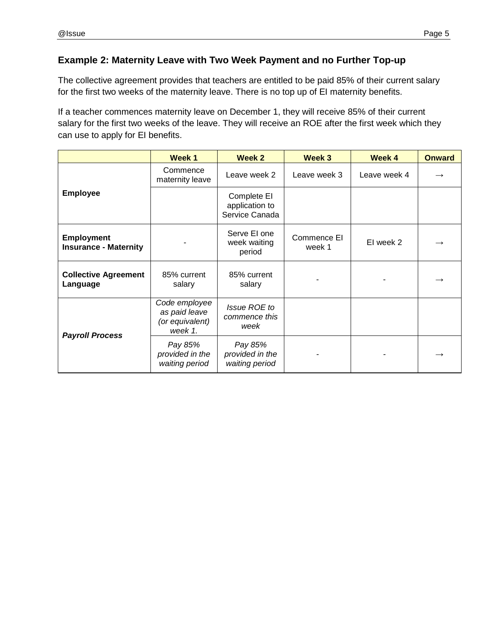### **Example 2: Maternity Leave with Two Week Payment and no Further Top-up**

The collective agreement provides that teachers are entitled to be paid 85% of their current salary for the first two weeks of the maternity leave. There is no top up of EI maternity benefits.

If a teacher commences maternity leave on December 1, they will receive 85% of their current salary for the first two weeks of the leave. They will receive an ROE after the first week which they can use to apply for EI benefits.

|                                                   | <b>Week1</b>                                                 | <b>Week 2</b>                                   | Week 3                | Week 4       | <b>Onward</b> |
|---------------------------------------------------|--------------------------------------------------------------|-------------------------------------------------|-----------------------|--------------|---------------|
| <b>Employee</b>                                   | Commence<br>maternity leave                                  | Leave week 2                                    | Leave week 3          | Leave week 4 |               |
|                                                   |                                                              | Complete EI<br>application to<br>Service Canada |                       |              |               |
| <b>Employment</b><br><b>Insurance - Maternity</b> |                                                              | Serve El one<br>week waiting<br>period          | Commence EI<br>week 1 | EI week 2    |               |
| <b>Collective Agreement</b><br>Language           | 85% current<br>salary                                        | 85% current<br>salary                           |                       |              |               |
| <b>Payroll Process</b>                            | Code employee<br>as paid leave<br>(or equivalent)<br>week 1. | Issue ROE to<br>commence this<br>week           |                       |              |               |
|                                                   | Pay 85%<br>provided in the<br>waiting period                 | Pay 85%<br>provided in the<br>waiting period    |                       |              |               |